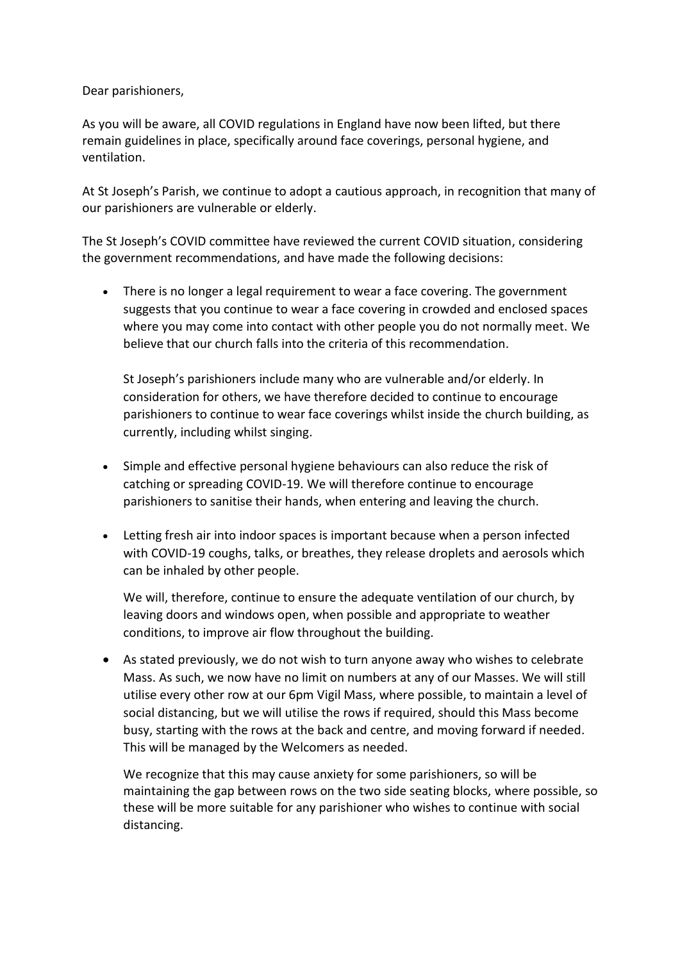Dear parishioners,

As you will be aware, all COVID regulations in England have now been lifted, but there remain guidelines in place, specifically around face coverings, personal hygiene, and ventilation.

At St Joseph's Parish, we continue to adopt a cautious approach, in recognition that many of our parishioners are vulnerable or elderly.

The St Joseph's COVID committee have reviewed the current COVID situation, considering the government recommendations, and have made the following decisions:

 There is no longer a legal requirement to wear a face covering. The government suggests that you continue to wear a face covering in crowded and enclosed spaces where you may come into contact with other people you do not normally meet. We believe that our church falls into the criteria of this recommendation.

St Joseph's parishioners include many who are vulnerable and/or elderly. In consideration for others, we have therefore decided to continue to encourage parishioners to continue to wear face coverings whilst inside the church building, as currently, including whilst singing.

- Simple and effective personal hygiene behaviours can also reduce the risk of catching or spreading COVID-19. We will therefore continue to encourage parishioners to sanitise their hands, when entering and leaving the church.
- Letting fresh air into indoor spaces is important because when a person infected with COVID-19 coughs, talks, or breathes, they release droplets and aerosols which can be inhaled by other people.

We will, therefore, continue to ensure the adequate ventilation of our church, by leaving doors and windows open, when possible and appropriate to weather conditions, to improve air flow throughout the building.

 As stated previously, we do not wish to turn anyone away who wishes to celebrate Mass. As such, we now have no limit on numbers at any of our Masses. We will still utilise every other row at our 6pm Vigil Mass, where possible, to maintain a level of social distancing, but we will utilise the rows if required, should this Mass become busy, starting with the rows at the back and centre, and moving forward if needed. This will be managed by the Welcomers as needed.

We recognize that this may cause anxiety for some parishioners, so will be maintaining the gap between rows on the two side seating blocks, where possible, so these will be more suitable for any parishioner who wishes to continue with social distancing.